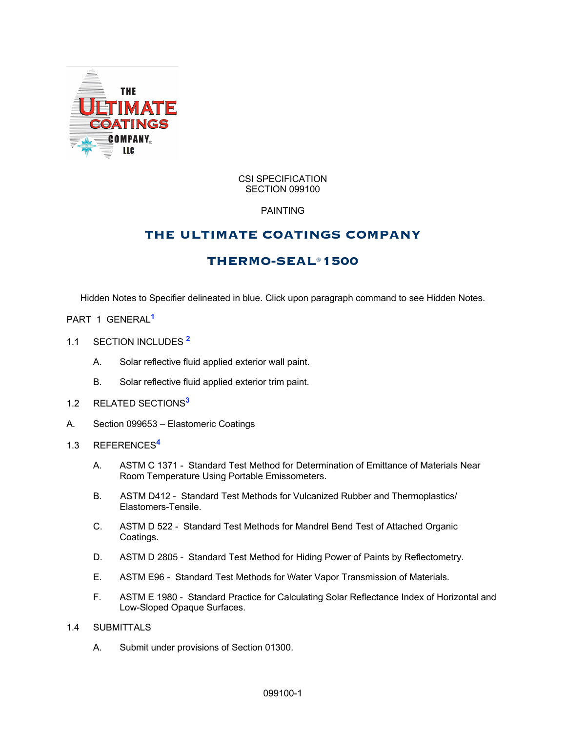

#### CSI SPECIFICATION SECTION 099100

# PAINTING

# **THE ULTIMATE COATINGS COMPANY**

# **THERMO-SEAL® 1500**

Hidden Notes to Specifier delineated in blue. Click upon paragraph command to see Hidden Notes.

- PART 1 GENERAL**<sup>1</sup>**
- 1.1 SECTION INCLUDES **<sup>2</sup>**
	- A. Solar reflective fluid applied exterior wall paint.
	- B. Solar reflective fluid applied exterior trim paint.
- 1.2 RELATED SECTIONS**<sup>3</sup>**
- A. Section 099653 Elastomeric Coatings
- 1.3 REFERENCES**<sup>4</sup>**
	- A. ASTM C 1371 Standard Test Method for Determination of Emittance of Materials Near Room Temperature Using Portable Emissometers.
	- B. ASTM D412 Standard Test Methods for Vulcanized Rubber and Thermoplastics/ Elastomers-Tensile.
	- C. ASTM D 522 Standard Test Methods for Mandrel Bend Test of Attached Organic Coatings.
	- D. ASTM D 2805 Standard Test Method for Hiding Power of Paints by Reflectometry.
	- E. ASTM E96 Standard Test Methods for Water Vapor Transmission of Materials.
	- F. ASTM E 1980 Standard Practice for Calculating Solar Reflectance Index of Horizontal and Low-Sloped Opaque Surfaces.

### 1.4 SUBMITTALS

A. Submit under provisions of Section 01300.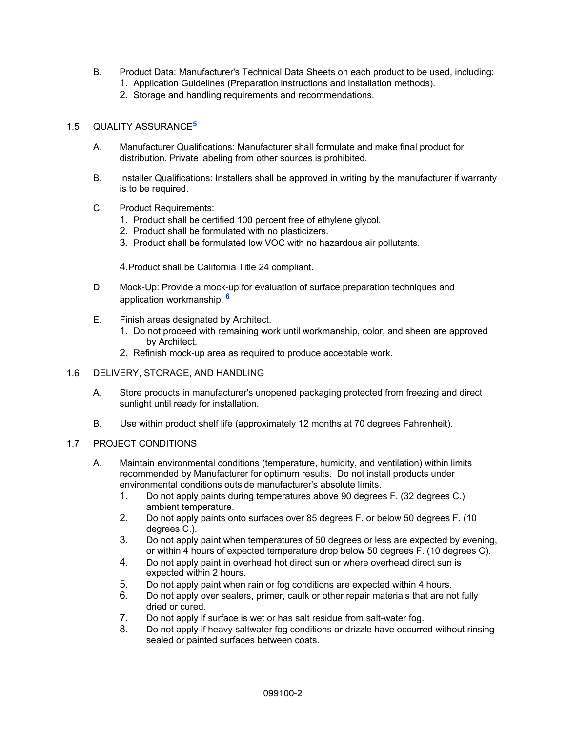- B. Product Data: Manufacturer's Technical Data Sheets on each product to be used, including:
	- 1. Application Guidelines (Preparation instructions and installation methods).
	- 2. Storage and handling requirements and recommendations.

# 1.5 QUALITY ASSURANCE**<sup>5</sup>**

- A. Manufacturer Qualifications: Manufacturer shall formulate and make final product for distribution. Private labeling from other sources is prohibited.
- B. Installer Qualifications: Installers shall be approved in writing by the manufacturer if warranty is to be required.
- C. Product Requirements:
	- 1. Product shall be certified 100 percent free of ethylene glycol.
	- 2. Product shall be formulated with no plasticizers.
	- 3. Product shall be formulated low VOC with no hazardous air pollutants.

4.Product shall be California Title 24 compliant.

- D. Mock-Up: Provide a mock-up for evaluation of surface preparation techniques and application workmanship. **<sup>6</sup>**
- E. Finish areas designated by Architect.
	- 1. Do not proceed with remaining work until workmanship, color, and sheen are approved by Architect.
	- 2. Refinish mock-up area as required to produce acceptable work.

## 1.6 DELIVERY, STORAGE, AND HANDLING

- A. Store products in manufacturer's unopened packaging protected from freezing and direct sunlight until ready for installation.
- B. Use within product shelf life (approximately 12 months at 70 degrees Fahrenheit).

## 1.7 PROJECT CONDITIONS

- A. Maintain environmental conditions (temperature, humidity, and ventilation) within limits recommended by Manufacturer for optimum results. Do not install products under environmental conditions outside manufacturer's absolute limits.
	- 1. Do not apply paints during temperatures above 90 degrees F. (32 degrees C.) ambient temperature.
	- 2. Do not apply paints onto surfaces over 85 degrees F. or below 50 degrees F. (10 degrees C.).
	- 3. Do not apply paint when temperatures of 50 degrees or less are expected by evening, or within 4 hours of expected temperature drop below 50 degrees F. (10 degrees C).
	- 4. Do not apply paint in overhead hot direct sun or where overhead direct sun is expected within 2 hours.
	- 5. Do not apply paint when rain or fog conditions are expected within 4 hours.
	- 6. Do not apply over sealers, primer, caulk or other repair materials that are not fully dried or cured.
	- 7. Do not apply if surface is wet or has salt residue from salt-water fog.
	- 8. Do not apply if heavy saltwater fog conditions or drizzle have occurred without rinsing sealed or painted surfaces between coats.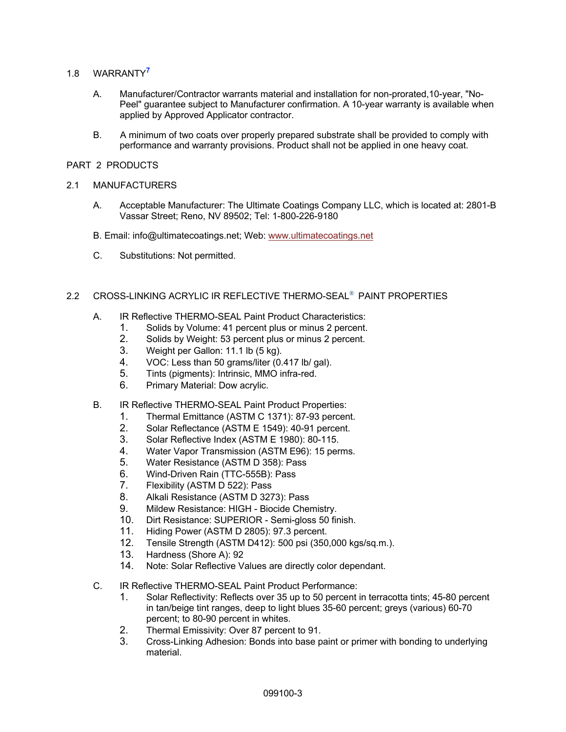- 1.8 WARRANTY**<sup>7</sup>**
	- A. Manufacturer/Contractor warrants material and installation for non-prorated,10-year, "No-Peel" guarantee subject to Manufacturer confirmation. A 10-year warranty is available when applied by Approved Applicator contractor.
	- B. A minimum of two coats over properly prepared substrate shall be provided to comply with performance and warranty provisions. Product shall not be applied in one heavy coat.

### PART 2 PRODUCTS

### 2.1 MANUFACTURERS

- A. Acceptable Manufacturer: The Ultimate Coatings Company LLC, which is located at: 2801-B Vassar Street; Reno, NV 89502; Tel: 1-800-226-9180
- B. Email: info@ultimatecoatings.net; Web: www.ultimatecoatings.net
- C. Substitutions: Not permitted.

# 2.2 CROSS-LINKING ACRYLIC IR REFLECTIVE THERMO-SEAL® PAINT PROPERTIES

- A. IR Reflective THERMO-SEAL Paint Product Characteristics:
	- 1. Solids by Volume: 41 percent plus or minus 2 percent.
	- 2. Solids by Weight: 53 percent plus or minus 2 percent.
	- 3. Weight per Gallon: 11.1 lb (5 kg).
	- 4. VOC: Less than 50 grams/liter (0.417 lb/ gal).
	- 5. Tints (pigments): Intrinsic, MMO infra-red.
	- 6. Primary Material: Dow acrylic.
- B. IR Reflective THERMO-SEAL Paint Product Properties:
	- 1. Thermal Emittance (ASTM C 1371): 87-93 percent.
	- 2. Solar Reflectance (ASTM E 1549): 40-91 percent.
	- 3. Solar Reflective Index (ASTM E 1980): 80-115.
	- 4. Water Vapor Transmission (ASTM E96): 15 perms.
	- 5. Water Resistance (ASTM D 358): Pass
	- 6. Wind-Driven Rain (TTC-555B): Pass<br>7. Flexibility (ASTM D 522): Pass
	- Flexibility (ASTM D 522): Pass
	- 8. Alkali Resistance (ASTM D 3273): Pass
	- 9. Mildew Resistance: HIGH Biocide Chemistry.
	- 10. Dirt Resistance: SUPERIOR Semi-gloss 50 finish.
	- 11. Hiding Power (ASTM D 2805): 97.3 percent.
	- 12. Tensile Strength (ASTM D412): 500 psi (350,000 kgs/sq.m.).
	- 13. Hardness (Shore A): 92
	- 14. Note: Solar Reflective Values are directly color dependant.
- C. IR Reflective THERMO-SEAL Paint Product Performance:
	- 1. Solar Reflectivity: Reflects over 35 up to 50 percent in terracotta tints; 45-80 percent in tan/beige tint ranges, deep to light blues 35-60 percent; greys (various) 60-70 percent; to 80-90 percent in whites.
	- 2. Thermal Emissivity: Over 87 percent to 91.
	- 3. Cross-Linking Adhesion: Bonds into base paint or primer with bonding to underlying material.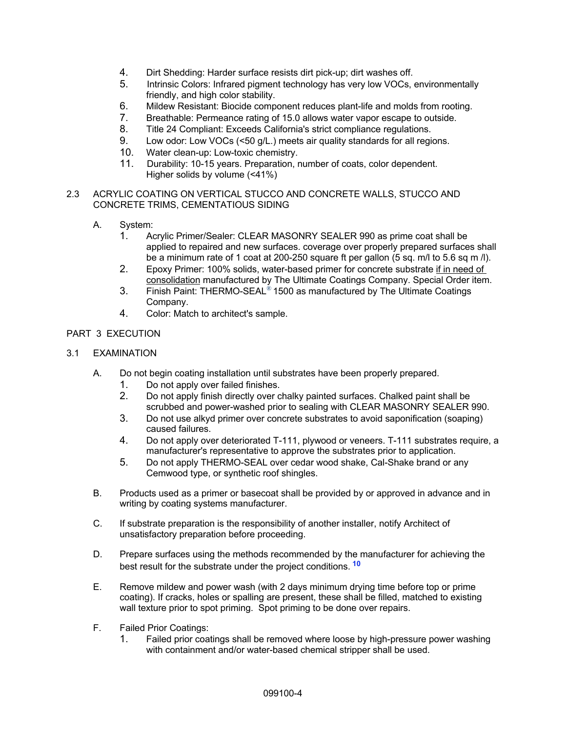- 4. Dirt Shedding: Harder surface resists dirt pick-up; dirt washes off.
- 5. Intrinsic Colors: Infrared pigment technology has very low VOCs, environmentally friendly, and high color stability.
- 6. Mildew Resistant: Biocide component reduces plant-life and molds from rooting.
- 7. Breathable: Permeance rating of 15.0 allows water vapor escape to outside.
- 8. Title 24 Compliant: Exceeds California's strict compliance regulations.
- 9. Low odor: Low VOCs (<50 g/L.) meets air quality standards for all regions.
- 10. Water clean-up: Low-toxic chemistry.
- 11. Durability: 10-15 years. Preparation, number of coats, color dependent. Higher solids by volume (<41%)

### 2.3 ACRYLIC COATING ON VERTICAL STUCCO AND CONCRETE WALLS, STUCCO AND CONCRETE TRIMS, CEMENTATIOUS SIDING

- A. System:
	- 1. Acrylic Primer/Sealer: CLEAR MASONRY SEALER 990 as prime coat shall be applied to repaired and new surfaces. coverage over properly prepared surfaces shall be a minimum rate of 1 coat at 200-250 square ft per gallon (5 sq. m/l to 5.6 sq m /l).
	- 2. Epoxy Primer: 100% solids, water-based primer for concrete substrate if in need of consolidation manufactured by The Ultimate Coatings Company. Special Order item.
	- 3. Finish Paint: THERMO-SEAL® 1500 as manufactured by The Ultimate Coatings Company.
	- 4. Color: Match to architect's sample.

# PART 3 EXECUTION

## 3.1 EXAMINATION

- A. Do not begin coating installation until substrates have been properly prepared.
	- 1. Do not apply over failed finishes.
	- 2. Do not apply finish directly over chalky painted surfaces. Chalked paint shall be scrubbed and power-washed prior to sealing with CLEAR MASONRY SEALER 990.
	- 3. Do not use alkyd primer over concrete substrates to avoid saponification (soaping) caused failures.
	- 4. Do not apply over deteriorated T-111, plywood or veneers. T-111 substrates require, a manufacturer's representative to approve the substrates prior to application.
	- 5. Do not apply THERMO-SEAL over cedar wood shake, Cal-Shake brand or any Cemwood type, or synthetic roof shingles.
- B. Products used as a primer or basecoat shall be provided by or approved in advance and in writing by coating systems manufacturer.
- C. If substrate preparation is the responsibility of another installer, notify Architect of unsatisfactory preparation before proceeding.
- D. Prepare surfaces using the methods recommended by the manufacturer for achieving the best result for the substrate under the project conditions. **<sup>10</sup>**
- E. Remove mildew and power wash (with 2 days minimum drying time before top or prime coating). If cracks, holes or spalling are present, these shall be filled, matched to existing wall texture prior to spot priming. Spot priming to be done over repairs.
- F. Failed Prior Coatings:
	- 1. Failed prior coatings shall be removed where loose by high-pressure power washing with containment and/or water-based chemical stripper shall be used.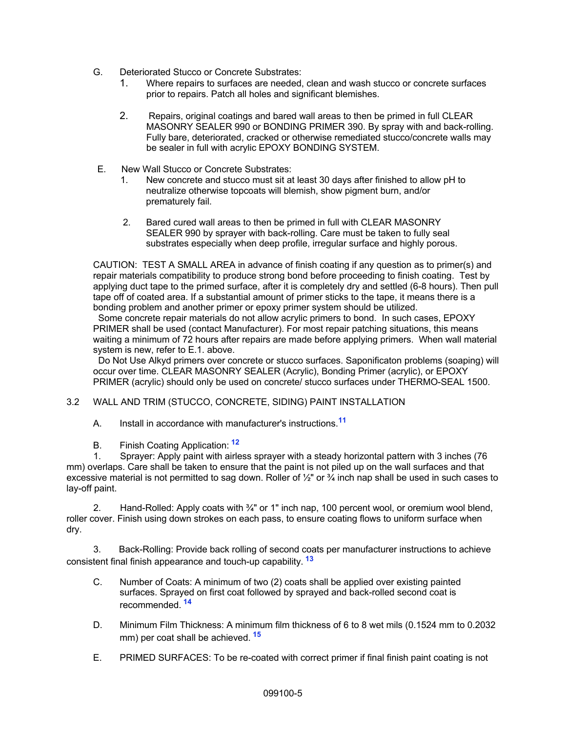- G. Deteriorated Stucco or Concrete Substrates:
	- 1. Where repairs to surfaces are needed, clean and wash stucco or concrete surfaces prior to repairs. Patch all holes and significant blemishes.
	- 2. Repairs, original coatings and bared wall areas to then be primed in full CLEAR MASONRY SEALER 990 or BONDING PRIMER 390. By spray with and back-rolling. Fully bare, deteriorated, cracked or otherwise remediated stucco/concrete walls may be sealer in full with acrylic EPOXY BONDING SYSTEM.
- E. New Wall Stucco or Concrete Substrates:
	- 1. New concrete and stucco must sit at least 30 days after finished to allow pH to neutralize otherwise topcoats will blemish, show pigment burn, and/or prematurely fail.
	- 2. Bared cured wall areas to then be primed in full with CLEAR MASONRY SEALER 990 by sprayer with back-rolling. Care must be taken to fully seal substrates especially when deep profile, irregular surface and highly porous.

CAUTION: TEST A SMALL AREA in advance of finish coating if any question as to primer(s) and repair materials compatibility to produce strong bond before proceeding to finish coating. Test by applying duct tape to the primed surface, after it is completely dry and settled (6-8 hours). Then pull tape off of coated area. If a substantial amount of primer sticks to the tape, it means there is a bonding problem and another primer or epoxy primer system should be utilized.

Some concrete repair materials do not allow acrylic primers to bond. In such cases, EPOXY PRIMER shall be used (contact Manufacturer). For most repair patching situations, this means waiting a minimum of 72 hours after repairs are made before applying primers. When wall material system is new, refer to E.1. above.

Do Not Use Alkyd primers over concrete or stucco surfaces. Saponificaton problems (soaping) will occur over time. CLEAR MASONRY SEALER (Acrylic), Bonding Primer (acrylic), or EPOXY PRIMER (acrylic) should only be used on concrete/ stucco surfaces under THERMO-SEAL 1500.

# 3.2 WALL AND TRIM (STUCCO, CONCRETE, SIDING) PAINT INSTALLATION

- A. Install in accordance with manufacturer's instructions.**<sup>11</sup>**
- B. Finish Coating Application: **<sup>12</sup>**

1. Sprayer: Apply paint with airless sprayer with a steady horizontal pattern with 3 inches (76 mm) overlaps. Care shall be taken to ensure that the paint is not piled up on the wall surfaces and that excessive material is not permitted to sag down. Roller of  $\frac{1}{2}$ " or  $\frac{3}{4}$  inch nap shall be used in such cases to lay-off paint.

2. Hand-Rolled: Apply coats with ¾" or 1" inch nap, 100 percent wool, or oremium wool blend, roller cover. Finish using down strokes on each pass, to ensure coating flows to uniform surface when dry.

3. Back-Rolling: Provide back rolling of second coats per manufacturer instructions to achieve consistent final finish appearance and touch-up capability. **<sup>13</sup>**

- C. Number of Coats: A minimum of two (2) coats shall be applied over existing painted surfaces. Sprayed on first coat followed by sprayed and back-rolled second coat is recommended. **<sup>14</sup>**
- D. Minimum Film Thickness: A minimum film thickness of 6 to 8 wet mils (0.1524 mm to 0.2032 mm) per coat shall be achieved. **<sup>15</sup>**
- E. PRIMED SURFACES: To be re-coated with correct primer if final finish paint coating is not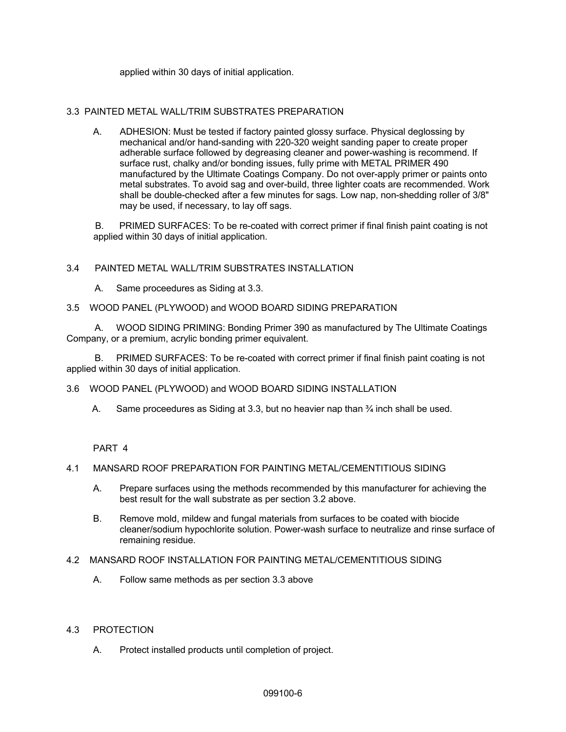applied within 30 days of initial application.

### 3.3 PAINTED METAL WALL/TRIM SUBSTRATES PREPARATION

A. ADHESION: Must be tested if factory painted glossy surface. Physical deglossing by mechanical and/or hand-sanding with 220-320 weight sanding paper to create proper adherable surface followed by degreasing cleaner and power-washing is recommend. If surface rust, chalky and/or bonding issues, fully prime with METAL PRIMER 490 manufactured by the Ultimate Coatings Company. Do not over-apply primer or paints onto metal substrates. To avoid sag and over-build, three lighter coats are recommended. Work shall be double-checked after a few minutes for sags. Low nap, non-shedding roller of 3/8" may be used, if necessary, to lay off sags.

B. PRIMED SURFACES: To be re-coated with correct primer if final finish paint coating is not applied within 30 days of initial application.

### 3.4 PAINTED METAL WALL/TRIM SUBSTRATES INSTALLATION

A. Same proceedures as Siding at 3.3.

### 3.5 WOOD PANEL (PLYWOOD) and WOOD BOARD SIDING PREPARATION

 A. WOOD SIDING PRIMING: Bonding Primer 390 as manufactured by The Ultimate Coatings Company, or a premium, acrylic bonding primer equivalent.

 B. PRIMED SURFACES: To be re-coated with correct primer if final finish paint coating is not applied within 30 days of initial application.

### 3.6 WOOD PANEL (PLYWOOD) and WOOD BOARD SIDING INSTALLATION

A. Same proceedures as Siding at 3.3, but no heavier nap than  $\frac{3}{4}$  inch shall be used.

PART 4

### 4.1 MANSARD ROOF PREPARATION FOR PAINTING METAL/CEMENTITIOUS SIDING

- A. Prepare surfaces using the methods recommended by this manufacturer for achieving the best result for the wall substrate as per section 3.2 above.
- B. Remove mold, mildew and fungal materials from surfaces to be coated with biocide cleaner/sodium hypochlorite solution. Power-wash surface to neutralize and rinse surface of remaining residue.

### 4.2 MANSARD ROOF INSTALLATION FOR PAINTING METAL/CEMENTITIOUS SIDING

A. Follow same methods as per section 3.3 above

## 4.3 PROTECTION

A. Protect installed products until completion of project.